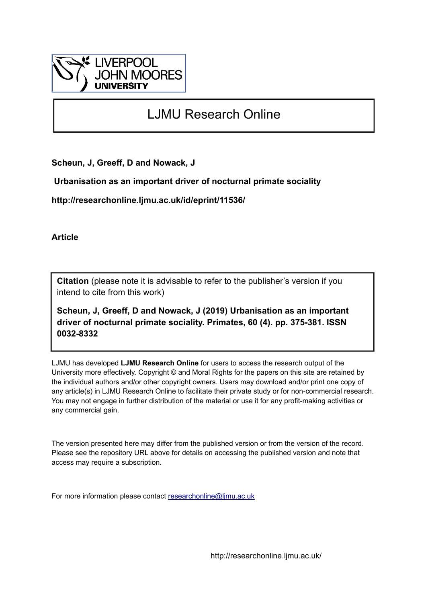

# LJMU Research Online

**Scheun, J, Greeff, D and Nowack, J**

 **Urbanisation as an important driver of nocturnal primate sociality**

**http://researchonline.ljmu.ac.uk/id/eprint/11536/**

**Article**

**Citation** (please note it is advisable to refer to the publisher's version if you intend to cite from this work)

**Scheun, J, Greeff, D and Nowack, J (2019) Urbanisation as an important driver of nocturnal primate sociality. Primates, 60 (4). pp. 375-381. ISSN 0032-8332** 

LJMU has developed **[LJMU Research Online](http://researchonline.ljmu.ac.uk/)** for users to access the research output of the University more effectively. Copyright © and Moral Rights for the papers on this site are retained by the individual authors and/or other copyright owners. Users may download and/or print one copy of any article(s) in LJMU Research Online to facilitate their private study or for non-commercial research. You may not engage in further distribution of the material or use it for any profit-making activities or any commercial gain.

The version presented here may differ from the published version or from the version of the record. Please see the repository URL above for details on accessing the published version and note that access may require a subscription.

For more information please contact [researchonline@ljmu.ac.uk](mailto:researchonline@ljmu.ac.uk)

http://researchonline.ljmu.ac.uk/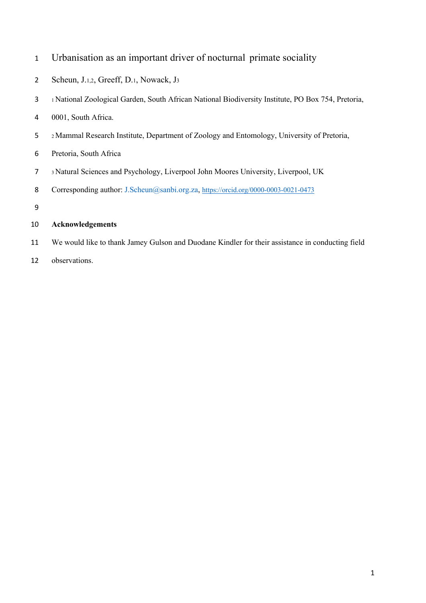| Urbanisation as an important driver of nocturnal primate sociality |  |  |
|--------------------------------------------------------------------|--|--|
|                                                                    |  |  |

- Scheun, J.1,2, Greeff, D.1, Nowack, J3
- 1 National Zoological Garden, South African National Biodiversity Institute, PO Box 754, Pretoria,
- 0001, South Africa.
- 2 Mammal Research Institute, Department of Zoology and Entomology, University of Pretoria,
- Pretoria, South Africa
- 3 Natural Sciences and Psychology, Liverpool John Moores University, Liverpool, UK
- 8 Corresponding author: J.Scheun@sanbi.org.za, https://orcid.org/0000-0003-0021-0473
- 

#### **Acknowledgements**

- We would like to thank Jamey Gulson and Duodane Kindler for their assistance in conducting field
- observations.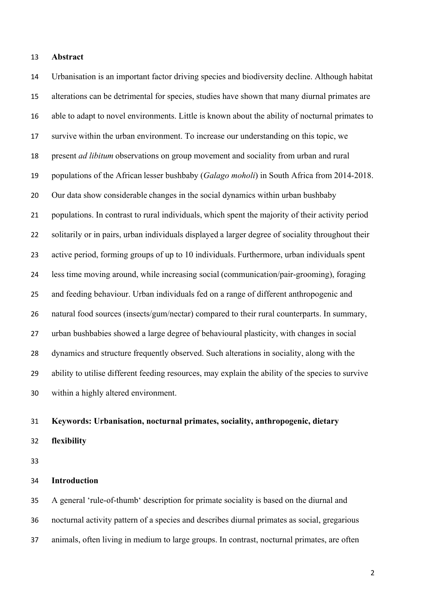#### **Abstract**

 Urbanisation is an important factor driving species and biodiversity decline. Although habitat alterations can be detrimental for species, studies have shown that many diurnal primates are able to adapt to novel environments. Little is known about the ability of nocturnal primates to survive within the urban environment. To increase our understanding on this topic, we present *ad libitum* observations on group movement and sociality from urban and rural populations of the African lesser bushbaby (*Galago moholi*) in South Africa from 2014-2018. Our data show considerable changes in the social dynamics within urban bushbaby populations. In contrast to rural individuals, which spent the majority of their activity period solitarily or in pairs, urban individuals displayed a larger degree of sociality throughout their active period, forming groups of up to 10 individuals. Furthermore, urban individuals spent less time moving around, while increasing social (communication/pair-grooming), foraging and feeding behaviour. Urban individuals fed on a range of different anthropogenic and 26 natural food sources (insects/gum/nectar) compared to their rural counterparts. In summary, urban bushbabies showed a large degree of behavioural plasticity, with changes in social dynamics and structure frequently observed. Such alterations in sociality, along with the ability to utilise different feeding resources, may explain the ability of the species to survive within a highly altered environment.

## **Keywords: Urbanisation, nocturnal primates, sociality, anthropogenic, dietary flexibility**

#### **Introduction**

 A general 'rule-of-thumb' description for primate sociality is based on the diurnal and nocturnal activity pattern of a species and describes diurnal primates as social, gregarious animals, often living in medium to large groups. In contrast, nocturnal primates, are often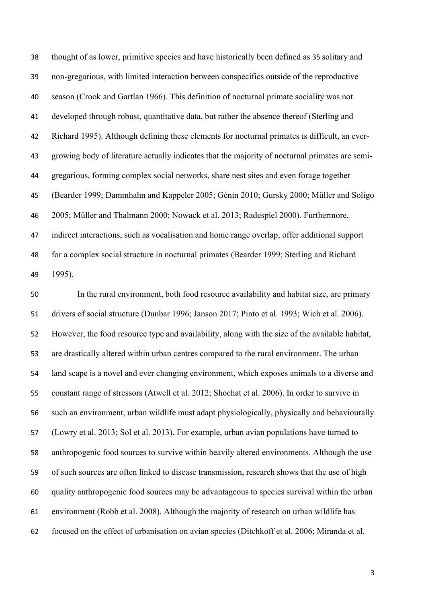thought of as lower, primitive species and have historically been defined as 35 solitary and non-gregarious, with limited interaction between conspecifics outside of the reproductive season (Crook and Gartlan 1966). This definition of nocturnal primate sociality was not developed through robust, quantitative data, but rather the absence thereof (Sterling and Richard 1995). Although defining these elements for nocturnal primates is difficult, an ever- growing body of literature actually indicates that the majority of nocturnal primates are semi- gregarious, forming complex social networks, share nest sites and even forage together (Bearder 1999; Dammhahn and Kappeler 2005; Génin 2010; Gursky 2000; Müller and Soligo 2005; Müller and Thalmann 2000; Nowack et al. 2013; Radespiel 2000). Furthermore, indirect interactions, such as vocalisation and home range overlap, offer additional support for a complex social structure in nocturnal primates (Bearder 1999; Sterling and Richard 1995).

 In the rural environment, both food resource availability and habitat size, are primary drivers of social structure (Dunbar 1996; Janson 2017; Pinto et al. 1993; Wich et al. 2006). However, the food resource type and availability, along with the size of the available habitat, are drastically altered within urban centres compared to the rural environment. The urban land scape is a novel and ever changing environment, which exposes animals to a diverse and constant range of stressors (Atwell et al. 2012; Shochat et al. 2006). In order to survive in such an environment, urban wildlife must adapt physiologically, physically and behaviourally (Lowry et al. 2013; Sol et al. 2013). For example, urban avian populations have turned to anthropogenic food sources to survive within heavily altered environments. Although the use of such sources are often linked to disease transmission, research shows that the use of high quality anthropogenic food sources may be advantageous to species survival within the urban environment (Robb et al. 2008). Although the majority of research on urban wildlife has focused on the effect of urbanisation on avian species (Ditchkoff et al. 2006; Miranda et al.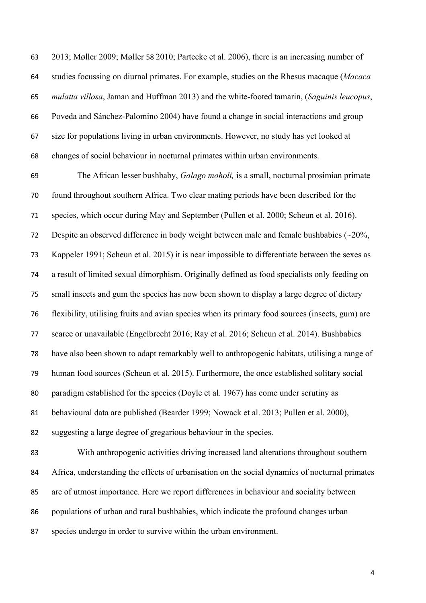2013; Møller 2009; Møller 58 2010; Partecke et al. 2006), there is an increasing number of studies focussing on diurnal primates. For example, studies on the Rhesus macaque (*Macaca mulatta villosa*, Jaman and Huffman 2013) and the white-footed tamarin, (*Saguinis leucopus*, Poveda and Sánchez-Palomino 2004) have found a change in social interactions and group size for populations living in urban environments. However, no study has yet looked at changes of social behaviour in nocturnal primates within urban environments.

 The African lesser bushbaby, *Galago moholi,* is a small, nocturnal prosimian primate found throughout southern Africa. Two clear mating periods have been described for the species, which occur during May and September (Pullen et al. 2000; Scheun et al. 2016). Despite an observed difference in body weight between male and female bushbabies (~20%, Kappeler 1991; Scheun et al. 2015) it is near impossible to differentiate between the sexes as a result of limited sexual dimorphism. Originally defined as food specialists only feeding on small insects and gum the species has now been shown to display a large degree of dietary flexibility, utilising fruits and avian species when its primary food sources (insects, gum) are scarce or unavailable (Engelbrecht 2016; Ray et al. 2016; Scheun et al. 2014). Bushbabies have also been shown to adapt remarkably well to anthropogenic habitats, utilising a range of human food sources (Scheun et al. 2015). Furthermore, the once established solitary social paradigm established for the species (Doyle et al. 1967) has come under scrutiny as behavioural data are published (Bearder 1999; Nowack et al. 2013; Pullen et al. 2000), suggesting a large degree of gregarious behaviour in the species. With anthropogenic activities driving increased land alterations throughout southern Africa, understanding the effects of urbanisation on the social dynamics of nocturnal primates

 are of utmost importance. Here we report differences in behaviour and sociality between populations of urban and rural bushbabies, which indicate the profound changes urban

species undergo in order to survive within the urban environment.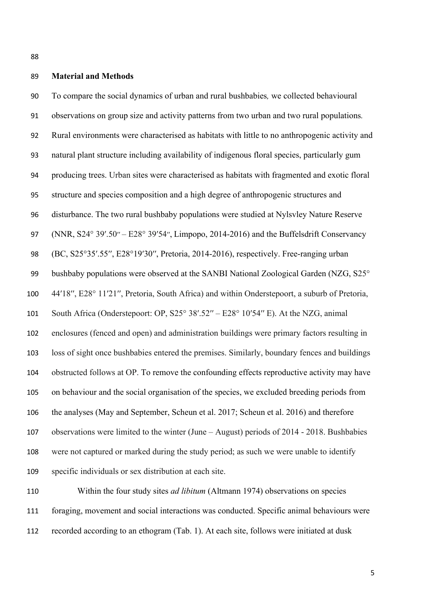### **Material and Methods**

 To compare the social dynamics of urban and rural bushbabies*,* we collected behavioural observations on group size and activity patterns from two urban and two rural populations*.*  Rural environments were characterised as habitats with little to no anthropogenic activity and natural plant structure including availability of indigenous floral species, particularly gum producing trees. Urban sites were characterised as habitats with fragmented and exotic floral structure and species composition and a high degree of anthropogenic structures and disturbance. The two rural bushbaby populations were studied at Nylsvley Nature Reserve 97 (NNR, S24° 39'.50′′ – E28° 39'54′′, Limpopo, 2014-2016) and the Buffelsdrift Conservancy (BC, S25°35′.55′′, E28°19′30′′, Pretoria, 2014-2016), respectively. Free-ranging urban 99 bushbaby populations were observed at the SANBI National Zoological Garden (NZG, S25° 44′18′′, E28° 11′21′′, Pretoria, South Africa) and within Onderstepoort, a suburb of Pretoria, South Africa (Onderstepoort: OP, S25° 38′.52′′ – E28° 10′54′′ E). At the NZG, animal enclosures (fenced and open) and administration buildings were primary factors resulting in loss of sight once bushbabies entered the premises. Similarly, boundary fences and buildings obstructed follows at OP. To remove the confounding effects reproductive activity may have on behaviour and the social organisation of the species, we excluded breeding periods from the analyses (May and September, Scheun et al. 2017; Scheun et al. 2016) and therefore observations were limited to the winter (June – August) periods of 2014 - 2018. Bushbabies were not captured or marked during the study period; as such we were unable to identify specific individuals or sex distribution at each site.

 Within the four study sites *ad libitum* (Altmann 1974) observations on species foraging, movement and social interactions was conducted. Specific animal behaviours were recorded according to an ethogram (Tab. 1). At each site, follows were initiated at dusk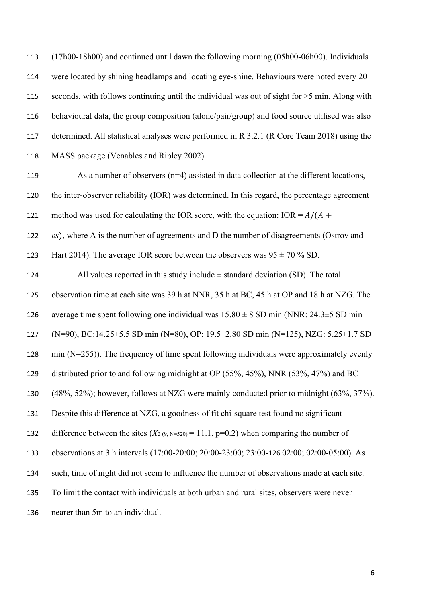(17h00-18h00) and continued until dawn the following morning (05h00-06h00). Individuals were located by shining headlamps and locating eye-shine. Behaviours were noted every 20 seconds, with follows continuing until the individual was out of sight for >5 min. Along with behavioural data, the group composition (alone/pair/group) and food source utilised was also determined. All statistical analyses were performed in R 3.2.1 (R Core Team 2018) using the MASS package (Venables and Ripley 2002).

119 As a number of observers (n=4) assisted in data collection at the different locations, the inter-observer reliability (IOR) was determined. In this regard, the percentage agreement 121 method was used for calculating the IOR score, with the equation:  $IOR = A/(A +$ *bs*), where A is the number of agreements and D the number of disagreements (Ostrov and

123 Hart 2014). The average IOR score between the observers was  $95 \pm 70\%$  SD.

124 All values reported in this study include  $\pm$  standard deviation (SD). The total observation time at each site was 39 h at NNR, 35 h at BC, 45 h at OP and 18 h at NZG. The 126 average time spent following one individual was  $15.80 \pm 8$  SD min (NNR: 24.3 $\pm 5$  SD min (N=90), BC:14.25±5.5 SD min (N=80), OP: 19.5±2.80 SD min (N=125), NZG: 5.25±1.7 SD min (N=255)). The frequency of time spent following individuals were approximately evenly distributed prior to and following midnight at OP (55%, 45%), NNR (53%, 47%) and BC (48%, 52%); however, follows at NZG were mainly conducted prior to midnight (63%, 37%). Despite this difference at NZG, a goodness of fit chi-square test found no significant 132 difference between the sites  $(X_{2(9, N=520)} = 11.1, p=0.2)$  when comparing the number of observations at 3 h intervals (17:00-20:00; 20:00-23:00; 23:00-126 02:00; 02:00-05:00). As such, time of night did not seem to influence the number of observations made at each site. To limit the contact with individuals at both urban and rural sites, observers were never nearer than 5m to an individual.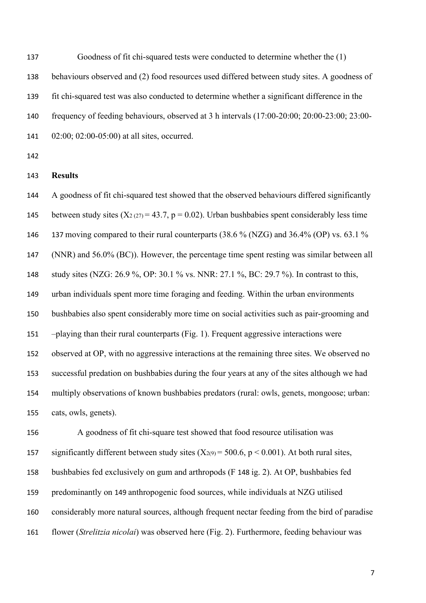Goodness of fit chi-squared tests were conducted to determine whether the (1) behaviours observed and (2) food resources used differed between study sites. A goodness of fit chi-squared test was also conducted to determine whether a significant difference in the frequency of feeding behaviours, observed at 3 h intervals (17:00-20:00; 20:00-23:00; 23:00- 02:00; 02:00-05:00) at all sites, occurred.

#### **Results**

 A goodness of fit chi-squared test showed that the observed behaviours differed significantly 145 between study sites  $(X_2 (27) = 43.7, p = 0.02)$ . Urban bushbabies spent considerably less time 137 moving compared to their rural counterparts (38.6 % (NZG) and 36.4% (OP) vs. 63.1 % (NNR) and 56.0% (BC)). However, the percentage time spent resting was similar between all study sites (NZG: 26.9 %, OP: 30.1 % vs. NNR: 27.1 %, BC: 29.7 %). In contrast to this, urban individuals spent more time foraging and feeding. Within the urban environments bushbabies also spent considerably more time on social activities such as pair-grooming and –playing than their rural counterparts (Fig. 1). Frequent aggressive interactions were observed at OP, with no aggressive interactions at the remaining three sites. We observed no successful predation on bushbabies during the four years at any of the sites although we had multiply observations of known bushbabies predators (rural: owls, genets, mongoose; urban: cats, owls, genets).

 A goodness of fit chi-square test showed that food resource utilisation was 157 significantly different between study sites  $(X_{2(9)} = 500.6, p \lt 0.001)$ . At both rural sites, bushbabies fed exclusively on gum and arthropods (F 148 ig. 2). At OP, bushbabies fed predominantly on 149 anthropogenic food sources, while individuals at NZG utilised considerably more natural sources, although frequent nectar feeding from the bird of paradise flower (*Strelitzia nicolai*) was observed here (Fig. 2). Furthermore, feeding behaviour was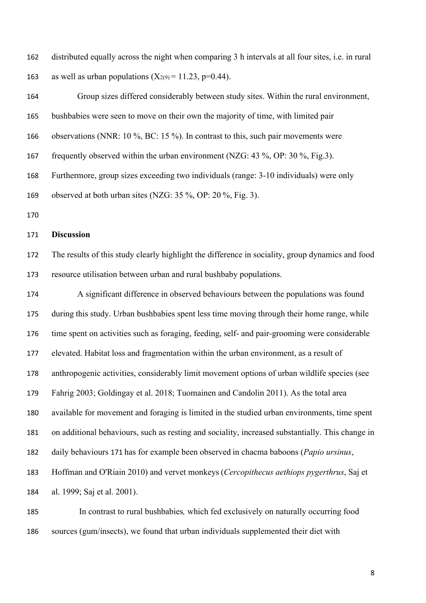distributed equally across the night when comparing 3 h intervals at all four sites, i.e. in rural 163 as well as urban populations  $(X_{2(9)} = 11.23, p=0.44)$ .

 Group sizes differed considerably between study sites. Within the rural environment, bushbabies were seen to move on their own the majority of time, with limited pair observations (NNR: 10 %, BC: 15 %). In contrast to this, such pair movements were frequently observed within the urban environment (NZG: 43 %, OP: 30 %, Fig.3). Furthermore, group sizes exceeding two individuals (range: 3-10 individuals) were only observed at both urban sites (NZG: 35 %, OP: 20 %, Fig. 3). 

### **Discussion**

 The results of this study clearly highlight the difference in sociality, group dynamics and food resource utilisation between urban and rural bushbaby populations.

 A significant difference in observed behaviours between the populations was found during this study. Urban bushbabies spent less time moving through their home range, while time spent on activities such as foraging, feeding, self- and pair-grooming were considerable elevated. Habitat loss and fragmentation within the urban environment, as a result of anthropogenic activities, considerably limit movement options of urban wildlife species (see Fahrig 2003; Goldingay et al. 2018; Tuomainen and Candolin 2011). As the total area available for movement and foraging is limited in the studied urban environments, time spent on additional behaviours, such as resting and sociality, increased substantially. This change in daily behaviours 171 has for example been observed in chacma baboons (*Papio ursinus*, Hoffman and O'Riain 2010) and vervet monkeys (*Cercopithecus aethiops pygerthrus*, Saj et al. 1999; Saj et al. 2001).

 In contrast to rural bushbabies*,* which fed exclusively on naturally occurring food sources (gum/insects), we found that urban individuals supplemented their diet with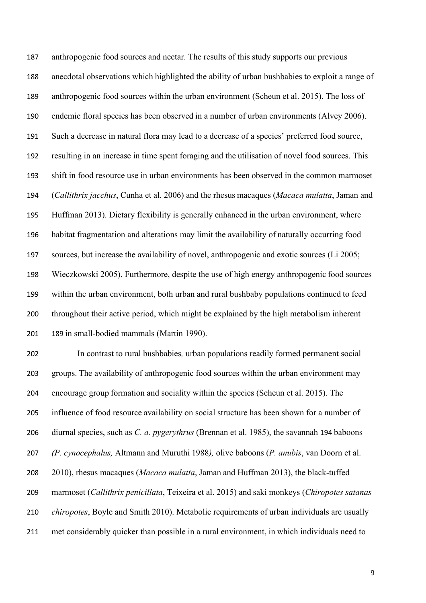anthropogenic food sources and nectar. The results of this study supports our previous anecdotal observations which highlighted the ability of urban bushbabies to exploit a range of anthropogenic food sources within the urban environment (Scheun et al. 2015). The loss of endemic floral species has been observed in a number of urban environments (Alvey 2006). Such a decrease in natural flora may lead to a decrease of a species' preferred food source, resulting in an increase in time spent foraging and the utilisation of novel food sources. This shift in food resource use in urban environments has been observed in the common marmoset (*Callithrix jacchus*, Cunha et al. 2006) and the rhesus macaques (*Macaca mulatta*, Jaman and Huffman 2013). Dietary flexibility is generally enhanced in the urban environment, where habitat fragmentation and alterations may limit the availability of naturally occurring food sources, but increase the availability of novel, anthropogenic and exotic sources (Li 2005; Wieczkowski 2005). Furthermore, despite the use of high energy anthropogenic food sources within the urban environment, both urban and rural bushbaby populations continued to feed throughout their active period, which might be explained by the high metabolism inherent 189 in small-bodied mammals (Martin 1990).

 In contrast to rural bushbabies*,* urban populations readily formed permanent social groups. The availability of anthropogenic food sources within the urban environment may encourage group formation and sociality within the species (Scheun et al. 2015). The influence of food resource availability on social structure has been shown for a number of diurnal species, such as *C. a. pygerythrus* (Brennan et al. 1985), the savannah 194 baboons *(P. cynocephalus,* Altmann and Muruthi 1988*),* olive baboons (*P. anubis*, van Doorn et al. 2010), rhesus macaques (*Macaca mulatta*, Jaman and Huffman 2013), the black-tuffed marmoset (*Callithrix penicillata*, Teixeira et al. 2015) and saki monkeys (*Chiropotes satanas chiropotes*, Boyle and Smith 2010). Metabolic requirements of urban individuals are usually met considerably quicker than possible in a rural environment, in which individuals need to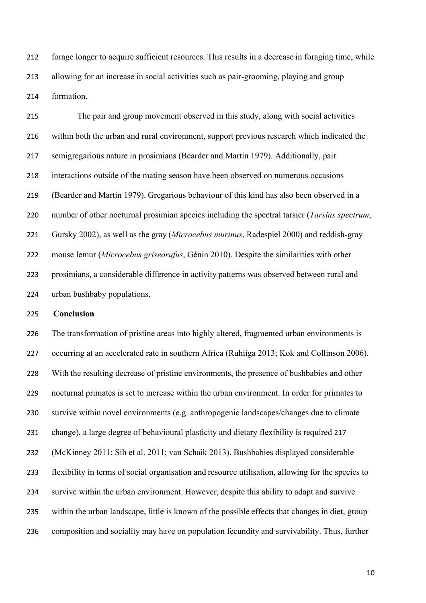forage longer to acquire sufficient resources. This results in a decrease in foraging time, while allowing for an increase in social activities such as pair-grooming, playing and group formation.

 The pair and group movement observed in this study, along with social activities within both the urban and rural environment, support previous research which indicated the semigregarious nature in prosimians (Bearder and Martin 1979). Additionally, pair interactions outside of the mating season have been observed on numerous occasions (Bearder and Martin 1979). Gregarious behaviour of this kind has also been observed in a number of other nocturnal prosimian species including the spectral tarsier (*Tarsius spectrum*, Gursky 2002), as well as the gray (*Microcebus murinus*, Radespiel 2000) and reddish-gray mouse lemur (*Microcebus griseorufus*, Génin 2010). Despite the similarities with other prosimians, a considerable difference in activity patterns was observed between rural and urban bushbaby populations.

**Conclusion**

 The transformation of pristine areas into highly altered, fragmented urban environments is occurring at an accelerated rate in southern Africa (Ruhiiga 2013; Kok and Collinson 2006). With the resulting decrease of pristine environments, the presence of bushbabies and other nocturnal primates is set to increase within the urban environment. In order for primates to survive within novel environments (e.g. anthropogenic landscapes/changes due to climate change), a large degree of behavioural plasticity and dietary flexibility is required 217 (McKinney 2011; Sih et al. 2011; van Schaik 2013). Bushbabies displayed considerable flexibility in terms of social organisation and resource utilisation, allowing for the species to survive within the urban environment. However, despite this ability to adapt and survive within the urban landscape, little is known of the possible effects that changes in diet, group composition and sociality may have on population fecundity and survivability. Thus, further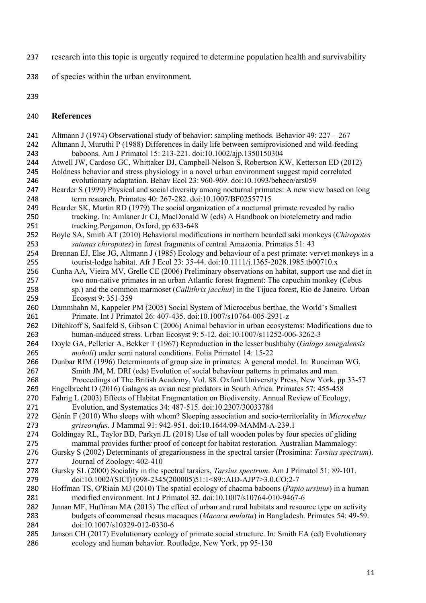- research into this topic is urgently required to determine population health and survivability
- of species within the urban environment.
- 
- **References**
- Altmann J (1974) Observational study of behavior: sampling methods. Behavior 49: 227 267 Altmann J, Muruthi P (1988) Differences in daily life between semiprovisioned and wild-feeding
- baboons. Am J Primatol 15: 213-221. doi:10.1002/ajp.1350150304 Atwell JW, Cardoso GC, Whittaker DJ, Campbell-Nelson S, Robertson KW, Ketterson ED (2012)
- Boldness behavior and stress physiology in a novel urban environment suggest rapid correlated
- evolutionary adaptation. Behav Ecol 23: 960-969. doi:10.1093/beheco/ars059 Bearder S (1999) Physical and social diversity among nocturnal primates: A new view based on long term research. Primates 40: 267-282. doi:10.1007/BF02557715
- Bearder SK, Martin RD (1979) The social organization of a nocturnal primate revealed by radio tracking. In: Amlaner Jr CJ, MacDonald W (eds) A Handbook on biotelemetry and radio tracking.Pergamon, Oxford, pp 633-648
- Boyle SA, Smith AT (2010) Behavioral modifications in northern bearded saki monkeys (*Chiropotes satanas chiropotes*) in forest fragments of central Amazonia. Primates 51: 43
- Brennan EJ, Else JG, Altmann J (1985) Ecology and behaviour of a pest primate: vervet monkeys in a tourist-lodge habitat. Afr J Ecol 23: 35-44. doi:10.1111/j.1365-2028.1985.tb00710.x
- Cunha AA, Vieira MV, Grelle CE (2006) Preliminary observations on habitat, support use and diet in two non-native primates in an urban Atlantic forest fragment: The capuchin monkey (Cebus sp.) and the common marmoset (*Callithrix jacchus*) in the Tijuca forest, Rio de Janeiro. Urban Ecosyst 9: 351-359
- Dammhahn M, Kappeler PM (2005) Social System of Microcebus berthae, the World's Smallest Primate. Int J Primatol 26: 407-435. doi:10.1007/s10764-005-2931-z
- Ditchkoff S, Saalfeld S, Gibson C (2006) Animal behavior in urban ecosystems: Modifications due to human-induced stress. Urban Ecosyst 9: 5-12. doi:10.1007/s11252-006-3262-3
- Doyle GA, Pelletier A, Bekker T (1967) Reproduction in the lesser bushbaby (*Galago senegalensis moholi*) under semi natural conditions. Folia Primatol 14: 15-22
- Dunbar RIM (1996) Determinants of group size in primates: A general model. In: Runciman WG, Smith JM, M. DRI (eds) Evolution of social behaviour patterns in primates and man. Proceedings of The British Academy, Vol. 88. Oxford University Press, New York, pp 33-57
- Engelbrecht D (2016) Galagos as avian nest predators in South Africa. Primates 57: 455-458
- Fahrig L (2003) Effects of Habitat Fragmentation on Biodiversity. Annual Review of Ecology,
- Evolution, and Systematics 34: 487-515. doi:10.2307/30033784
- Génin F (2010) Who sleeps with whom? Sleeping association and socio-territoriality in *Microcebus griseorufus*. J Mammal 91: 942-951. doi:10.1644/09-MAMM-A-239.1
- Goldingay RL, Taylor BD, Parkyn JL (2018) Use of tall wooden poles by four species of gliding mammal provides further proof of concept for habitat restoration. Australian Mammalogy:
- Gursky S (2002) Determinants of gregariousness in the spectral tarsier (Prosimina: *Tarsius spectrum*). Journal of Zoology: 402-410
- Gursky SL (2000) Sociality in the spectral tarsiers, *Tarsius spectrum*. Am J Primatol 51: 89-101. doi:10.1002/(SICI)1098-2345(200005)51:1<89::AID-AJP7>3.0.CO;2-7
- Hoffman TS, O'Riain MJ (2010) The spatial ecology of chacma baboons (*Papio ursinus*) in a human modified environment. Int J Primatol 32. doi:10.1007/s10764-010-9467-6
- Jaman MF, Huffman MA (2013) The effect of urban and rural habitats and resource type on activity budgets of commensal rhesus macaques (*Macaca mulatta*) in Bangladesh. Primates 54: 49-59. doi:10.1007/s10329-012-0330-6
- Janson CH (2017) Evolutionary ecology of primate social structure. In: Smith EA (ed) Evolutionary ecology and human behavior. Routledge, New York, pp 95-130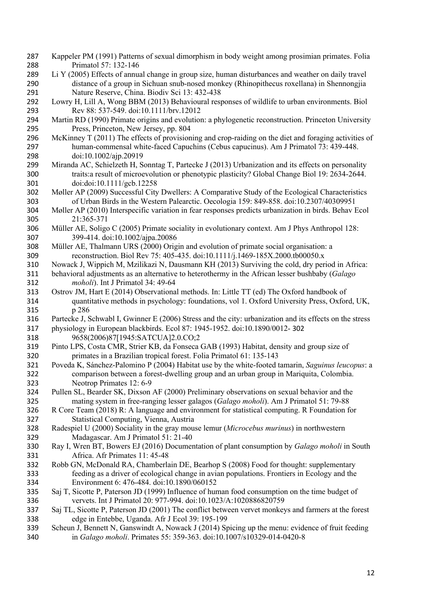- Kappeler PM (1991) Patterns of sexual dimorphism in body weight among prosimian primates. Folia Primatol 57: 132-146
- Li Y (2005) Effects of annual change in group size, human disturbances and weather on daily travel distance of a group in Sichuan snub-nosed monkey (Rhinopithecus roxellana) in Shennongjia Nature Reserve, China. Biodiv Sci 13: 432-438
- Lowry H, Lill A, Wong BBM (2013) Behavioural responses of wildlife to urban environments. Biol Rev 88: 537-549. doi:10.1111/brv.12012
- Martin RD (1990) Primate origins and evolution: a phylogenetic reconstruction. Princeton University Press, Princeton, New Jersey, pp. 804
- McKinney T (2011) The effects of provisioning and crop-raiding on the diet and foraging activities of human-commensal white-faced Capuchins (Cebus capucinus). Am J Primatol 73: 439-448. doi:10.1002/ajp.20919
- Miranda AC, Schielzeth H, Sonntag T, Partecke J (2013) Urbanization and its effects on personality traits:a result of microevolution or phenotypic plasticity? Global Change Biol 19: 2634-2644. doi:doi:10.1111/gcb.12258
- Møller AP (2009) Successful City Dwellers: A Comparative Study of the Ecological Characteristics of Urban Birds in the Western Palearctic. Oecologia 159: 849-858. doi:10.2307/40309951
- Møller AP (2010) Interspecific variation in fear responses predicts urbanization in birds. Behav Ecol 21:365-371
- Müller AE, Soligo C (2005) Primate sociality in evolutionary context. Am J Phys Anthropol 128: 399-414. doi:10.1002/ajpa.20086
- Müller AE, Thalmann URS (2000) Origin and evolution of primate social organisation: a reconstruction. Biol Rev 75: 405-435. doi:10.1111/j.1469-185X.2000.tb00050.x
- Nowack J, Wippich M, Mzilikazi N, Dausmann KH (2013) Surviving the cold, dry period in Africa:
- behavioral adjustments as an alternative to heterothermy in the African lesser bushbaby (*Galago moholi*). Int J Primatol 34: 49-64
- Ostrov JM, Hart E (2014) Observational methods. In: Little TT (ed) The Oxford handbook of quantitative methods in psychology: foundations, vol 1. Oxford University Press, Oxford, UK, p 286
- Partecke J, Schwabl I, Gwinner E (2006) Stress and the city: urbanization and its effects on the stress
- physiology in European blackbirds. Ecol 87: 1945-1952. doi:10.1890/0012- 302 9658(2006)87[1945:SATCUA]2.0.CO;2
- Pinto LPS, Costa CMR, Strier KB, da Fonseca GAB (1993) Habitat, density and group size of primates in a Brazilian tropical forest. Folia Primatol 61: 135-143
- Poveda K, Sánchez-Palomino P (2004) Habitat use by the white-footed tamarin, *Saguinus leucopus*: a comparison between a forest-dwelling group and an urban group in Mariquita, Colombia. Neotrop Primates 12: 6-9
- Pullen SL, Bearder SK, Dixson AF (2000) Preliminary observations on sexual behavior and the mating system in free-ranging lesser galagos (*Galago moholi*). Am J Primatol 51: 79-88
- R Core Team (2018) R: A language and environment for statistical computing. R Foundation for Statistical Computing, Vienna, Austria
- Radespiel U (2000) Sociality in the gray mouse lemur (*Microcebus murinus*) in northwestern Madagascar. Am J Primatol 51: 21-40
- Ray I, Wren BT, Bowers EJ (2016) Documentation of plant consumption by *Galago moholi* in South Africa. Afr Primates 11: 45-48
- Robb GN, McDonald RA, Chamberlain DE, Bearhop S (2008) Food for thought: supplementary feeding as a driver of ecological change in avian populations. Frontiers in Ecology and the Environment 6: 476-484. doi:10.1890/060152
- Saj T, Sicotte P, Paterson JD (1999) Influence of human food consumption on the time budget of vervets. Int J Primatol 20: 977-994. doi:10.1023/A:1020886820759
- Saj TL, Sicotte P, Paterson JD (2001) The conflict between vervet monkeys and farmers at the forest edge in Entebbe, Uganda. Afr J Ecol 39: 195-199
- Scheun J, Bennett N, Ganswindt A, Nowack J (2014) Spicing up the menu: evidence of fruit feeding in *Galago moholi*. Primates 55: 359-363. doi:10.1007/s10329-014-0420-8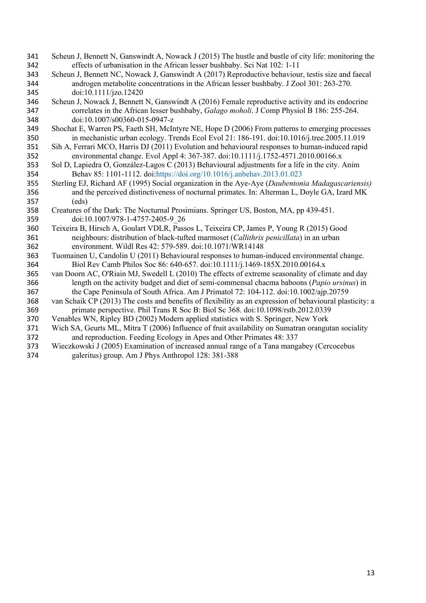- Scheun J, Bennett N, Ganswindt A, Nowack J (2015) The hustle and bustle of city life: monitoring the effects of urbanisation in the African lesser bushbaby. Sci Nat 102: 1-11
- Scheun J, Bennett NC, Nowack J, Ganswindt A (2017) Reproductive behaviour, testis size and faecal androgen metabolite concentrations in the African lesser bushbaby. J Zool 301: 263-270. doi:10.1111/jzo.12420
- Scheun J, Nowack J, Bennett N, Ganswindt A (2016) Female reproductive activity and its endocrine correlates in the African lesser bushbaby, *Galago moholi*. J Comp Physiol B 186: 255-264. doi:10.1007/s00360-015-0947-z
- Shochat E, Warren PS, Faeth SH, McIntyre NE, Hope D (2006) From patterns to emerging processes in mechanistic urban ecology. Trends Ecol Evol 21: 186-191. doi:10.1016/j.tree.2005.11.019
- Sih A, Ferrari MCO, Harris DJ (2011) Evolution and behavioural responses to human-induced rapid environmental change. Evol Appl 4: 367-387. doi:10.1111/j.1752-4571.2010.00166.x
- Sol D, Lapiedra O, González-Lagos C (2013) Behavioural adjustments for a life in the city. Anim Behav 85: 1101-1112. doi:https://doi.org/10.1016/j.anbehav.2013.01.023
- Sterling EJ, Richard AF (1995) Social organization in the Aye-Aye (*Daubentonia Madagascariensis)*  and the perceived distinctiveness of nocturnal primates. In: Alterman L, Doyle GA, Izard MK (eds)
- Creatures of the Dark: The Nocturnal Prosimians. Springer US, Boston, MA, pp 439-451. doi:10.1007/978-1-4757-2405-9\_26
- Teixeira B, Hirsch A, Goulart VDLR, Passos L, Teixeira CP, James P, Young R (2015) Good neighbours: distribution of black-tufted marmoset (*Callithrix penicillata*) in an urban environment. Wildl Res 42: 579-589. doi:10.1071/WR14148
- Tuomainen U, Candolin U (2011) Behavioural responses to human-induced environmental change. Biol Rev Camb Philos Soc 86: 640-657. doi:10.1111/j.1469-185X.2010.00164.x
- van Doorn AC, O'Riain MJ, Swedell L (2010) The effects of extreme seasonality of climate and day length on the activity budget and diet of semi-commensal chacma baboons (*Papio ursinus*) in the Cape Peninsula of South Africa. Am J Primatol 72: 104-112. doi:10.1002/ajp.20759
- van Schaik CP (2013) The costs and benefits of flexibility as an expression of behavioural plasticity: a primate perspective. Phil Trans R Soc B: Biol Sc 368. doi:10.1098/rstb.2012.0339
- Venables WN, Ripley BD (2002) Modern applied statistics with S. Springer, New York
- Wich SA, Geurts ML, Mitra T (2006) Influence of fruit availability on Sumatran orangutan sociality and reproduction. Feeding Ecology in Apes and Other Primates 48: 337
- Wieczkowski J (2005) Examination of increased annual range of a Tana mangabey (Cercocebus galeritus) group. Am J Phys Anthropol 128: 381-388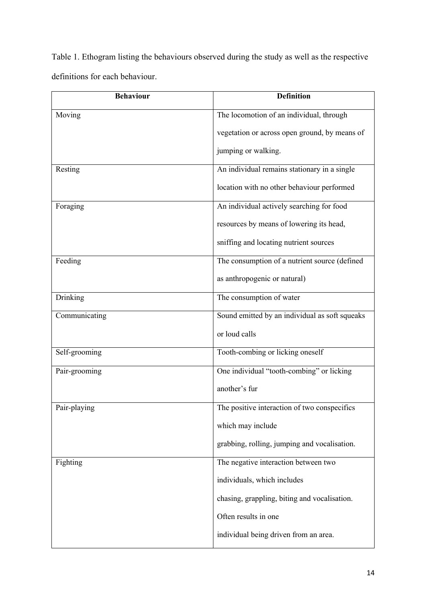Table 1. Ethogram listing the behaviours observed during the study as well as the respective definitions for each behaviour.

| <b>Behaviour</b> | <b>Definition</b>                              |  |  |
|------------------|------------------------------------------------|--|--|
| Moving           | The locomotion of an individual, through       |  |  |
|                  | vegetation or across open ground, by means of  |  |  |
|                  | jumping or walking.                            |  |  |
| Resting          | An individual remains stationary in a single   |  |  |
|                  | location with no other behaviour performed     |  |  |
| Foraging         | An individual actively searching for food      |  |  |
|                  | resources by means of lowering its head,       |  |  |
|                  | sniffing and locating nutrient sources         |  |  |
| Feeding          | The consumption of a nutrient source (defined  |  |  |
|                  | as anthropogenic or natural)                   |  |  |
| Drinking         | The consumption of water                       |  |  |
| Communicating    | Sound emitted by an individual as soft squeaks |  |  |
|                  | or loud calls                                  |  |  |
| Self-grooming    | Tooth-combing or licking oneself               |  |  |
| Pair-grooming    | One individual "tooth-combing" or licking      |  |  |
|                  | another's fur                                  |  |  |
| Pair-playing     | The positive interaction of two conspecifics   |  |  |
|                  | which may include                              |  |  |
|                  | grabbing, rolling, jumping and vocalisation.   |  |  |
| Fighting         | The negative interaction between two           |  |  |
|                  | individuals, which includes                    |  |  |
|                  | chasing, grappling, biting and vocalisation.   |  |  |
|                  | Often results in one                           |  |  |
|                  | individual being driven from an area.          |  |  |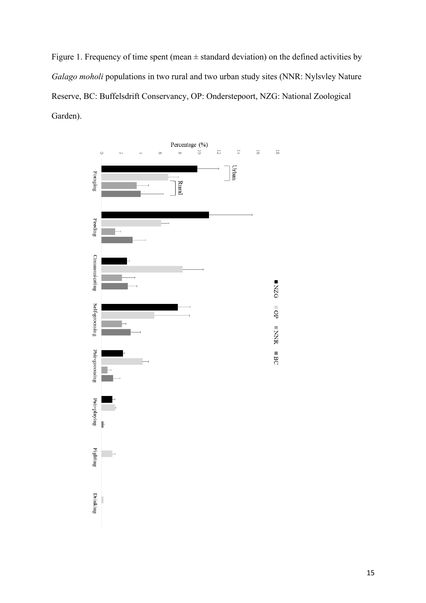Figure 1. Frequency of time spent (mean  $\pm$  standard deviation) on the defined activities by *Galago moholi* populations in two rural and two urban study sites (NNR: Nylsvley Nature Reserve, BC: Buffelsdrift Conservancy, OP: Onderstepoort, NZG: National Zoological Garden).

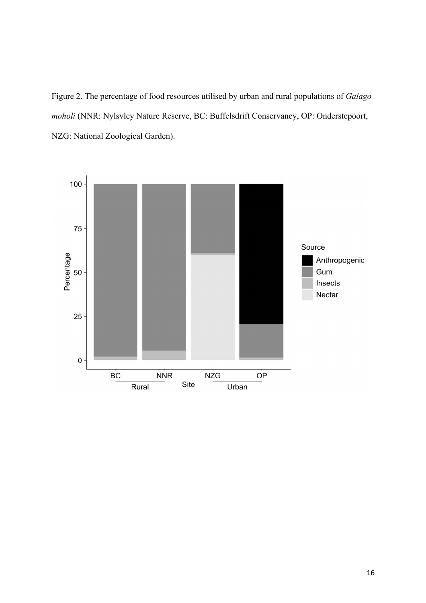Figure 2. The percentage of food resources utilised by urban and rural populations of *Galago moholi* (NNR: Nylsvley Nature Reserve, BC: Buffelsdrift Conservancy, OP: Onderstepoort, NZG: National Zoological Garden).